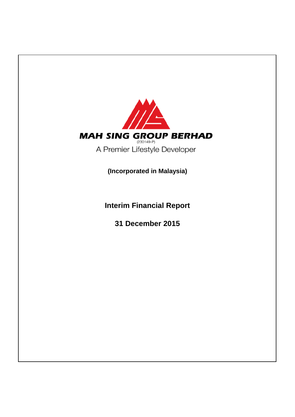

**Interim Financial Report**

**31 December 2015**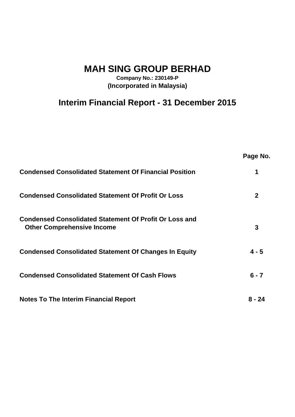**MAH SING GROUP BERHAD**

**Company No.: 230149-P (Incorporated in Malaysia)**

# **Interim Financial Report - 31 December 2015**

|                                                                                                    | Page No.     |
|----------------------------------------------------------------------------------------------------|--------------|
| <b>Condensed Consolidated Statement Of Financial Position</b>                                      | 1            |
| <b>Condensed Consolidated Statement Of Profit Or Loss</b>                                          | $\mathbf{2}$ |
| <b>Condensed Consolidated Statement Of Profit Or Loss and</b><br><b>Other Comprehensive Income</b> | 3            |
| <b>Condensed Consolidated Statement Of Changes In Equity</b>                                       | $4 - 5$      |
| <b>Condensed Consolidated Statement Of Cash Flows</b>                                              | $6 - 7$      |
| <b>Notes To The Interim Financial Report</b>                                                       | 8 - 24       |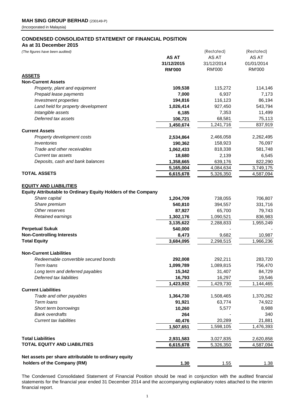# **CONDENSED CONSOLIDATED STATEMENT OF FINANCIAL POSITION**

**As at 31 December 2015**

| (The figures have been audited)                               | <b>AS AT</b>  | (Restated)<br>AS AT | (Restated)<br>AS AT |
|---------------------------------------------------------------|---------------|---------------------|---------------------|
|                                                               | 31/12/2015    | 31/12/2014          | 01/01/2014          |
|                                                               | <b>RM'000</b> | <b>RM'000</b>       | <b>RM'000</b>       |
| <b>ASSETS</b>                                                 |               |                     |                     |
| <b>Non-Current Assets</b>                                     |               |                     |                     |
| Property, plant and equipment                                 | 109,538       | 115,272             | 114,146             |
| Prepaid lease payments                                        | 7,000         | 6,937               | 7,173               |
| Investment properties                                         | 194,816       | 116,123             | 86,194              |
| Land held for property development                            | 1,026,414     | 927,450             | 543,794             |
| Intangible assets                                             | 6,185         | 7,353               | 11,499              |
| Deferred tax assets                                           | 106,721       | 68,581              | 75,113              |
|                                                               | 1,450,674     | 1,241,716           | 837,919             |
| <b>Current Assets</b>                                         |               |                     |                     |
| Property development costs                                    | 2,534,864     | 2,466,058           | 2,262,495           |
| Inventories                                                   | 190,362       | 158,923             | 76,097              |
| Trade and other receivables                                   | 1,062,433     | 818,338             | 581,748             |
| <b>Current tax assets</b>                                     | 18,680        | 2,139               | 6,545               |
| Deposits, cash and bank balances                              | 1,358,665     | 639,176             | 822,290             |
|                                                               | 5,165,004     | 4,084,634           | 3,749,175           |
| <b>TOTAL ASSETS</b>                                           | 6,615,678     | 5,326,350           | 4,587,094           |
|                                                               |               |                     |                     |
| <b>EQUITY AND LIABILITIES</b>                                 |               |                     |                     |
| Equity Attributable to Ordinary Equity Holders of the Company |               |                     |                     |
| Share capital                                                 | 1,204,709     | 738,055             | 706,807             |
| Share premium                                                 | 540,810       | 394,557             | 331,716             |
| Other reserves                                                | 87,927        | 65,700              | 79,743              |
| Retained earnings                                             | 1,302,176     | 1,090,521           | 836,983             |
|                                                               | 3,135,622     | 2,288,833           | 1,955,249           |
| <b>Perpetual Sukuk</b>                                        | 540,000       |                     |                     |
| <b>Non-Controlling Interests</b>                              | 8,473         | 9,682               | 10,987              |
| <b>Total Equity</b>                                           | 3,684,095     | 2,298,515           | 1,966,236           |
| <b>Non-Current Liabilities</b>                                |               |                     |                     |
| Redeemable convertible secured bonds                          | 292,008       | 292,211             | 283,720             |
| Term loans                                                    | 1,099,789     | 1,089,815           | 756,470             |
| Long term and deferred payables                               | 15,342        | 31,407              | 84,729              |
| Deferred tax liabilities                                      | 16,793        | 16,297              | 19,546              |
|                                                               | 1,423,932     | 1,429,730           | 1,144,465           |
| <b>Current Liabilities</b>                                    |               |                     |                     |
| Trade and other payables                                      | 1,364,730     | 1,508,465           | 1,370,262           |
| Term loans                                                    | 91,921        | 63,774              | 74,922              |
| Short term borrowings                                         | 10,260        | 5,577               | 8,988               |
| <b>Bank overdrafts</b>                                        | 264           |                     | 340                 |
| <b>Current tax liabilities</b>                                | 40,476        | 20,289              | 21,881              |
|                                                               | 1,507,651     | 1,598,105           | 1,476,393           |
|                                                               |               |                     |                     |
| <b>Total Liabilities</b>                                      | 2,931,583     | 3,027,835           | 2,620,858           |
| <b>TOTAL EQUITY AND LIABILITIES</b>                           | 6,615,678     | 5,326,350           | 4,587,094           |
|                                                               |               |                     |                     |
| Net assets per share attributable to ordinary equity          |               |                     |                     |
| holders of the Company (RM)                                   | 1.30          | 1.55                | 1.38                |

The Condensed Consolidated Statement of Financial Position should be read in conjunction with the audited financial statements for the financial year ended 31 December 2014 and the accompanying explanatory notes attached to the interim financial report.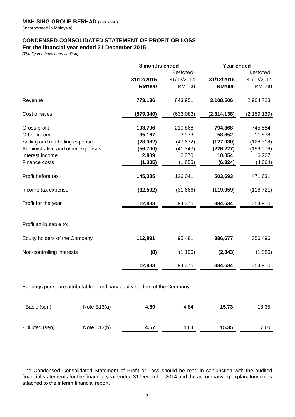# **CONDENSED CONSOLIDATED STATEMENT OF PROFIT OR LOSS**

**For the financial year ended 31 December 2015**

*(The figures have been audited)*

|                                   | 3 months ended |               | Year ended    |               |  |
|-----------------------------------|----------------|---------------|---------------|---------------|--|
|                                   |                | (Restated)    |               | (Restated)    |  |
|                                   | 31/12/2015     | 31/12/2014    | 31/12/2015    | 31/12/2014    |  |
|                                   | <b>RM'000</b>  | <b>RM'000</b> | <b>RM'000</b> | <b>RM'000</b> |  |
| Revenue                           | 773,136        | 843,951       | 3,108,506     | 2,904,723     |  |
| Cost of sales                     | (579,340)      | (633,083)     | (2, 314, 138) | (2, 159, 139) |  |
| Gross profit                      | 193,796        | 210,868       | 794,368       | 745,584       |  |
| Other income                      | 35,167         | 3,973         | 58,852        | 11,878        |  |
| Selling and marketing expenses    | (28, 382)      | (47, 672)     | (127, 030)    | (128, 318)    |  |
| Administrative and other expenses | (56, 700)      | (41, 343)     | (226, 227)    | (159, 076)    |  |
| Interest income                   | 2,809          | 2,070         | 10,054        | 6,227         |  |
| Finance costs                     | (1, 305)       | (1, 855)      | (6, 324)      | (4,664)       |  |
| Profit before tax                 | 145,385        | 126,041       | 503,693       | 471,631       |  |
| Income tax expense                | (32, 502)      | (31,666)      | (119, 059)    | (116, 721)    |  |
| Profit for the year               | 112,883        | 94,375        | 384,634       | 354,910       |  |
|                                   |                |               |               |               |  |
| Profit attributable to:           |                |               |               |               |  |
| Equity holders of the Company     | 112,891        | 95,481        | 386,677       | 356,496       |  |
| Non-controlling interests         | (8)            | (1, 106)      | (2,043)       | (1,586)       |  |
|                                   | 112,883        | 94,375        | 384,634       | 354,910       |  |
|                                   |                |               |               |               |  |

Earnings per share attributable to ordinary equity holders of the Company:

| - Basic (sen)   | Note $B13(a)$ | 4.69 | 4.84 | 15.73 | 18.35 |
|-----------------|---------------|------|------|-------|-------|
|                 |               |      |      |       |       |
| - Diluted (sen) | Note B13(b)   | 4.57 | 4.64 | 15.35 | 17.60 |

The Condensed Consolidated Statement of Profit or Loss should be read in conjunction with the audited financial statements for the financial year ended 31 December 2014 and the accompanying explanatory notes attached to the interim financial report.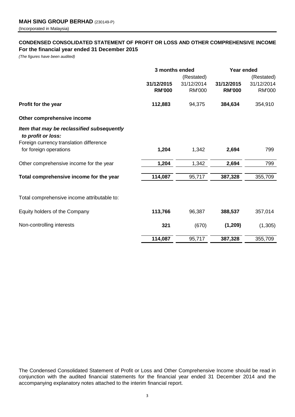# **CONDENSED CONSOLIDATED STATEMENT OF PROFIT OR LOSS AND OTHER COMPREHENSIVE INCOME For the financial year ended 31 December 2015**

*(The figures have been audited)*

|                                                                  | 3 months ended |               | Year ended    |               |
|------------------------------------------------------------------|----------------|---------------|---------------|---------------|
|                                                                  |                | (Restated)    |               | (Restated)    |
|                                                                  | 31/12/2015     | 31/12/2014    | 31/12/2015    | 31/12/2014    |
|                                                                  | <b>RM'000</b>  | <b>RM'000</b> | <b>RM'000</b> | <b>RM'000</b> |
| Profit for the year                                              | 112,883        | 94,375        | 384,634       | 354,910       |
| Other comprehensive income                                       |                |               |               |               |
| Item that may be reclassified subsequently<br>to profit or loss: |                |               |               |               |
| Foreign currency translation difference                          |                |               |               |               |
| for foreign operations                                           | 1,204          | 1,342         | 2,694         | 799           |
| Other comprehensive income for the year                          | 1,204          | 1,342         | 2,694         | 799           |
| Total comprehensive income for the year                          | 114,087        | 95,717        | 387,328       | 355,709       |
|                                                                  |                |               |               |               |
| Total comprehensive income attributable to:                      |                |               |               |               |
| Equity holders of the Company                                    | 113,766        | 96,387        | 388,537       | 357,014       |
| Non-controlling interests                                        | 321            | (670)         | (1, 209)      | (1,305)       |
|                                                                  | 114,087        | 95,717        | 387,328       | 355,709       |

The Condensed Consolidated Statement of Profit or Loss and Other Comprehensive Income should be read in conjunction with the audited financial statements for the financial year ended 31 December 2014 and the accompanying explanatory notes attached to the interim financial report.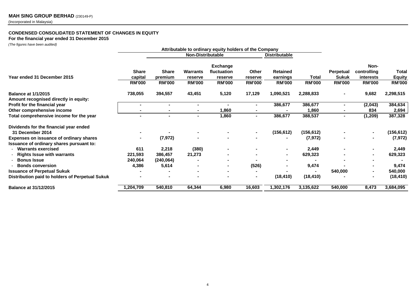# **CONDENSED CONSOLIDATED STATEMENT OF CHANGES IN EQUITY**

**For the financial year ended 31 December 2015**

*(The figures have been audited)*

| Attributable to ordinary equity holders of the Company |               |                          |                 |                 |                |                      |               |                  |                |               |
|--------------------------------------------------------|---------------|--------------------------|-----------------|-----------------|----------------|----------------------|---------------|------------------|----------------|---------------|
|                                                        |               | <b>Non-Distributable</b> |                 |                 |                | <b>Distributable</b> |               |                  |                |               |
|                                                        |               |                          |                 | <b>Exchange</b> |                |                      |               |                  | Non-           |               |
|                                                        | <b>Share</b>  | <b>Share</b>             | <b>Warrants</b> | fluctuation     | Other          | <b>Retained</b>      |               | <b>Perpetual</b> | controlling    | Total         |
| Year ended 31 December 2015                            | capital       | premium                  | reserve         | reserve         | reserve        | earnings             | <b>Total</b>  | <b>Sukuk</b>     | interests      | <b>Equity</b> |
|                                                        | <b>RM'000</b> | <b>RM'000</b>            | <b>RM'000</b>   | <b>RM'000</b>   | <b>RM'000</b>  | <b>RM'000</b>        | <b>RM'000</b> | <b>RM'000</b>    | <b>RM'000</b>  | <b>RM'000</b> |
| <b>Balance at 1/1/2015</b>                             | 738,055       | 394,557                  | 43,451          | 5,120           | 17,129         | 1,090,521            | 2,288,833     |                  | 9,682          | 2,298,515     |
| Amount recognised directly in equity:                  |               |                          |                 |                 |                |                      |               |                  |                |               |
| Profit for the financial year                          |               |                          |                 |                 |                | 386,677              | 386,677       |                  | (2,043)        | 384,634       |
| Other comprehensive income                             |               |                          |                 | 1,860           |                |                      | 1,860         |                  | 834            | 2,694         |
| Total comprehensive income for the year                |               | $\blacksquare$           | ۰               | 1,860           | $\blacksquare$ | 386,677              | 388,537       | ۰.               | (1, 209)       | 387,328       |
| Dividends for the financial year ended                 |               |                          |                 |                 |                |                      |               |                  |                |               |
| 31 December 2014                                       |               |                          |                 |                 | $\blacksquare$ | (156, 612)           | (156, 612)    |                  | $\blacksquare$ | (156, 612)    |
| Expenses on issuance of ordinary shares                |               | (7, 972)                 |                 |                 |                |                      | (7, 972)      |                  |                | (7, 972)      |
| Issuance of ordinary shares pursuant to:               |               |                          |                 |                 |                |                      |               |                  |                |               |
| - Warrants exercised                                   | 611           | 2,218                    | (380)           |                 |                | $\sim$               | 2,449         |                  |                | 2,449         |
| <b>Rights Issue with warrants</b>                      | 221,593       | 386,457                  | 21,273          |                 |                | $\sim$               | 629,323       |                  | $\blacksquare$ | 629,323       |
| <b>Bonus Issue</b>                                     | 240,064       | (240, 064)               |                 |                 |                |                      |               |                  |                |               |
| <b>Bonds conversion</b>                                | 4,386         | 5,614                    |                 |                 | (526)          |                      | 9,474         |                  |                | 9,474         |
| <b>Issuance of Perpetual Sukuk</b>                     |               |                          |                 |                 |                |                      |               | 540,000          |                | 540,000       |
| Distribution paid to holders of Perpetual Sukuk        |               |                          |                 |                 | $\blacksquare$ | (18, 410)            | (18, 410)     |                  | $\blacksquare$ | (18, 410)     |
| <b>Balance at 31/12/2015</b>                           | 1,204,709     | 540,810                  | 64,344          | 6,980           | 16,603         | 1,302,176            | 3,135,622     | 540,000          | 8,473          | 3,684,095     |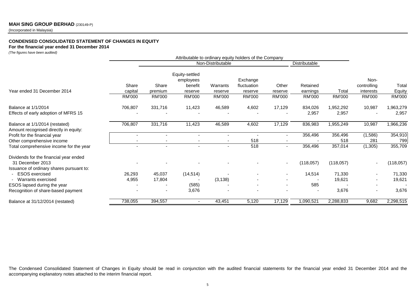# **MAH SING GROUP BERHAD** (230149-P)

(Incorporated in Malaysia)

### **CONDENSED CONSOLIDATED STATEMENT OF CHANGES IN EQUITY**

#### **For the financial year ended 31 December 2014**

*(The figures have been audited)*

|                                                                         | Attributable to ordinary equity holders of the Company |               |                                        |                |                        |                          |            |           |                          |               |
|-------------------------------------------------------------------------|--------------------------------------------------------|---------------|----------------------------------------|----------------|------------------------|--------------------------|------------|-----------|--------------------------|---------------|
|                                                                         | Non-Distributable                                      |               |                                        |                |                        | Distributable            |            |           |                          |               |
|                                                                         | Share                                                  | Share         | Equity-settled<br>employees<br>benefit | Warrants       | Exchange               | Other                    | Retained   |           | Non-                     | Total         |
| Year ended 31 December 2014                                             | capital                                                | premium       | reserve                                | reserve        | fluctuation<br>reserve | reserve                  | earnings   | Total     | controlling<br>interests | Equity        |
|                                                                         | <b>RM'000</b>                                          | <b>RM'000</b> | <b>RM'000</b>                          | RM'000         | <b>RM'000</b>          | RM'000                   | RM'000     | RM'000    | RM'000                   | <b>RM'000</b> |
| Balance at 1/1/2014                                                     | 706,807                                                | 331,716       | 11,423                                 | 46,589         | 4,602                  | 17,129                   | 834,026    | 1,952,292 | 10,987                   | 1,963,279     |
| Effects of early adoption of MFRS 15                                    |                                                        |               |                                        |                |                        |                          | 2,957      | 2,957     |                          | 2,957         |
| Balance at 1/1/2014 (restated)<br>Amount recognised directly in equity: | 706,807                                                | 331,716       | 11,423                                 | 46,589         | 4,602                  | 17,129                   | 836,983    | 1,955,249 | 10,987                   | 1,966,236     |
| Profit for the financial year                                           |                                                        |               |                                        |                |                        | ٠                        | 356,496    | 356,496   | (1,586)                  | 354,910       |
| Other comprehensive income                                              |                                                        |               | $\overline{\phantom{a}}$               | $\blacksquare$ | 518                    | $\overline{\phantom{a}}$ |            | 518       | 281                      | 799           |
| Total comprehensive income for the year                                 |                                                        |               |                                        | ٠              | 518                    | $\blacksquare$           | 356,496    | 357,014   | (1, 305)                 | 355,709       |
| Dividends for the financial year ended                                  |                                                        |               |                                        |                |                        |                          |            |           |                          |               |
| 31 December 2013                                                        |                                                        |               |                                        |                |                        | $\overline{\phantom{a}}$ | (118, 057) | (118,057) |                          | (118,057)     |
| Issuance of ordinary shares pursuant to:                                |                                                        |               |                                        |                |                        |                          |            |           |                          |               |
| <b>ESOS</b> exercised                                                   | 26,293                                                 | 45,037        | (14, 514)                              |                |                        | ۰                        | 14,514     | 71,330    |                          | 71,330        |
| - Warrants exercised                                                    | 4,955                                                  | 17,804        |                                        | (3, 138)       |                        |                          |            | 19,621    |                          | 19,621        |
| ESOS lapsed during the year                                             |                                                        |               | (585)                                  |                |                        | $\overline{\phantom{0}}$ | 585        |           |                          |               |
| Recognition of share-based payment                                      |                                                        |               | 3,676                                  |                |                        |                          |            | 3,676     |                          | 3,676         |
| Balance at 31/12/2014 (restated)                                        | 738,055                                                | 394,557       |                                        | 43,451         | 5,120                  | 17,129                   | 1,090,521  | 2,288,833 | 9,682                    | 2,298,515     |

The Condensed Consolidated Statement of Changes in Equity should be read in conjunction with the audited financial statements for the financial year ended 31 December 2014 and the accompanying explanatory notes attached to the interim financial report.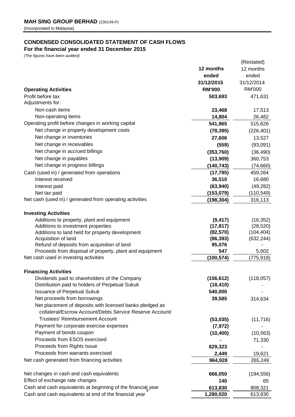# **CONDENSED CONSOLIDATED STATEMENT OF CASH FLOWS**

# **For the financial year ended 31 December 2015**

*(The figures have been audited)*

|                                                                        |                        | (Restated)               |
|------------------------------------------------------------------------|------------------------|--------------------------|
|                                                                        | 12 months              | 12 months                |
|                                                                        | ended                  | ended                    |
|                                                                        | 31/12/2015             | 31/12/2014               |
| <b>Operating Activities</b>                                            | <b>RM'000</b>          | <b>RM'000</b>            |
| Profit before tax                                                      | 503,693                | 471,631                  |
| Adjustments for:                                                       |                        |                          |
| Non-cash items                                                         | 23,468                 | 17,513                   |
| Non-operating items                                                    | 14,804                 | 26,482                   |
| Operating profit before changes in working capital                     | 541,965                | 515,626                  |
| Net change in property development costs                               | (78, 395)              | (226, 401)               |
| Net change in inventories                                              | 27,606                 | 13,527                   |
| Net change in receivables                                              | (559)                  | (93,091)                 |
| Net change in accrued billings                                         | (353,760)              | (36, 490)                |
| Net change in payables                                                 | (13,909)               | 360,753                  |
| Net change in progress billings                                        | (140, 743)             | (74, 660)                |
| Cash (used in) / generated from operations                             | (17, 795)              | 459,264                  |
| Interest received                                                      | 36,510                 | 16,680                   |
| Interest paid                                                          | (63, 940)              | (49, 282)                |
| Net tax paid                                                           | (153, 079)             | (110, 549)               |
| Net cash (used in) / generated from operating activities               | (198, 304)             | 316,113                  |
|                                                                        |                        |                          |
| <b>Investing Activities</b>                                            |                        |                          |
| Additions to property, plant and equipment                             | (9, 417)               | (16, 352)                |
| Additions to investment properties                                     | (17, 817)              | (28, 520)                |
| Additions to land held for property development<br>Acquisition of land | (82, 570)<br>(86, 393) | (104, 404)<br>(632, 244) |
| Refund of deposits from acquisition of land                            | 95,076                 |                          |
| Proceeds from disposal of property, plant and equipment                | 547                    | 5,602                    |
| Net cash used in investing activities                                  | (100, 574)             | (775, 918)               |
|                                                                        |                        |                          |
| <b>Financing Activities</b>                                            |                        |                          |
| Dividends paid to shareholders of the Company                          | (156, 612)             | (118, 057)               |
| Distribution paid to holders of Perpetual Sukuk                        | (18, 410)              |                          |
| <b>Issuance of Perpetual Sukuk</b>                                     | 540,000                |                          |
| Net proceeds from borrowings                                           | 39,585                 | 314,634                  |
| Net placement of deposits with licensed banks pledged as               |                        |                          |
| collateral/Escrow Account/Debts Service Reserve Account/               |                        |                          |
| Trustees' Reimbursement Account                                        | (53,035)               | (11, 716)                |
| Payment for corporate exercise expenses                                | (7, 972)               |                          |
| Payment of bonds coupon                                                | (10, 400)              | (10, 563)                |
| Proceeds from ESOS exercised                                           |                        | 71,330                   |
| Proceeds from Rights Issue                                             | 629,323                |                          |
| Proceeds from warrants exercised                                       | 2,449                  | 19,621                   |
| Net cash generated from financing activities                           | 964,928                | 265,249                  |
|                                                                        |                        |                          |
| Net changes in cash and cash equivalents                               | 666,050                | (194, 556)               |
| Effect of exchange rate changes                                        | 140                    | 65                       |
| Cash and cash equivalents at beginning of the financial year           | 613,830                | 808,321                  |
| Cash and cash equivalents at end of the financial year                 | 1,280,020              | 613,830                  |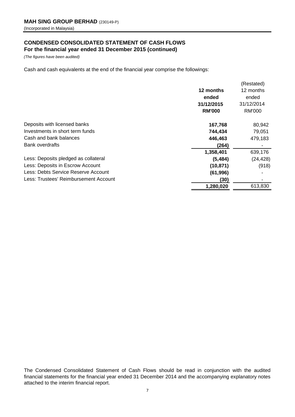# **CONDENSED CONSOLIDATED STATEMENT OF CASH FLOWS For the financial year ended 31 December 2015 (continued)**

*(The figures have been audited)*

Cash and cash equivalents at the end of the financial year comprise the followings:

|                                       |               | (Restated)    |
|---------------------------------------|---------------|---------------|
|                                       | 12 months     | 12 months     |
|                                       | ended         | ended         |
|                                       | 31/12/2015    | 31/12/2014    |
|                                       | <b>RM'000</b> | <b>RM'000</b> |
| Deposits with licensed banks          | 167,768       | 80,942        |
| Investments in short term funds       | 744,434       | 79,051        |
| Cash and bank balances                | 446,463       | 479,183       |
| <b>Bank overdrafts</b>                | (264)         |               |
|                                       | 1,358,401     | 639,176       |
| Less: Deposits pledged as collateral  | (5, 484)      | (24, 428)     |
| Less: Deposits in Escrow Account      | (10, 871)     | (918)         |
| Less: Debts Service Reserve Account   | (61, 996)     |               |
| Less: Trustees' Reimbursement Account | (30)          |               |
|                                       | 1,280,020     | 613,830       |

The Condensed Consolidated Statement of Cash Flows should be read in conjunction with the audited financial statements for the financial year ended 31 December 2014 and the accompanying explanatory notes attached to the interim financial report.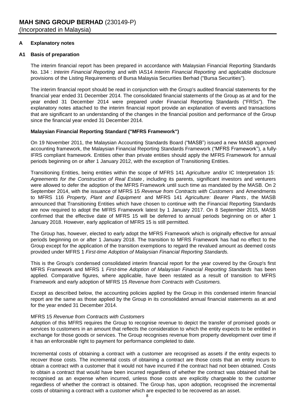# **A Explanatory notes**

# **A1 Basis of preparation**

The interim financial report has been prepared in accordance with Malaysian Financial Reporting Standards No. 134 : *Interim Financial Reporting* and with IAS14 *Interim Financial Reporting* and applicable disclosure provisions of the Listing Requirements of Bursa Malaysia Securities Berhad ("Bursa Securities").

The interim financial report should be read in conjunction with the Group's audited financial statements for the financial year ended 31 December 2014. The consolidated financial statements of the Group as at and for the year ended 31 December 2014 were prepared under Financial Reporting Standards ("FRSs"). The explanatory notes attached to the interim financial report provide an explanation of events and transactions that are significant to an understanding of the changes in the financial position and performance of the Group since the financial year ended 31 December 2014.

# **Malaysian Financial Reporting Standard ("MFRS Framework")**

On 19 November 2011, the Malaysian Accounting Standards Board ("MASB") issued a new MASB approved accounting framework, the Malaysian Financial Reporting Standards Framework ("MFRS Framework"), a fully-IFRS compliant framework. Entities other than private entities should apply the MFRS Framework for annual periods beginning on or after 1 January 2012, with the exception of Transitioning Entities.

Transitioning Entities, being entities within the scope of MFRS 141 *Agriculture* and/or IC Interpretation 15: *Agreements for the Construction of Real Estate* , including its parents, significant investors and venturers were allowed to defer the adoption of the MFRS Framework until such time as mandated by the MASB. On 2 September 2014, with the issuance of MFRS 15 *Revenue from Contracts with Customers* and Amendments to MFRS 116 *Property, Plant and Equipment* and MFRS 141 *Agriculture: Bearer Plants* , the MASB announced that Transitioning Entities which have chosen to continue with the Financial Reporting Standards are now required to adopt the MFRS Framework latest by 1 January 2017. On 8 September 2015, MASB confirmed that the effective date of MFRS 15 will be deferred to annual periods beginning on or after 1 January 2018. However, early application of MFRS 15 is still permitted.

The Group has, however, elected to early adopt the MFRS Framework which is originally effective for annual periods beginning on or after 1 January 2018. The transition to MFRS Framework has had no effect to the Group except for the application of the transition exemptions to regard the revalued amount as deemed costs provided under MFRS 1 *First-time Adoption of Malaysian Financial Reporting Standards.*

This is the Group's condensed consolidated interim financial report for the year covered by the Group's first MFRS Framework and MFRS 1 *First-time Adoption of Malaysian Financial Reporting Standards* has been applied. Comparative figures, where applicable, have been restated as a result of transition to MFRS Framework and early adoption of MFRS 15 *Revenue from Contracts with Customers.*

Except as described below, the accounting policies applied by the Group in this condensed interim financial report are the same as those applied by the Group in its consolidated annual financial statements as at and for the year ended 31 December 2014.

# MFRS 15 *Revenue from Contracts with Customers*

Adoption of this MFRS requires the Group to recognise revenue to depict the transfer of promised goods or services to customers in an amount that reflects the consideration to which the entity expects to be entitled in exchange for those goods or services. The Group recognises revenue from property development over time if it has an enforceable right to payment for performance completed to date.

Incremental costs of obtaining a contract with a customer are recognised as assets if the entity expects to recover those costs. The incremental costs of obtaining a contract are those costs that an entity incurs to obtain a contract with a customer that it would not have incurred if the contract had not been obtained. Costs to obtain a contract that would have been incurred regardless of whether the contract was obtained shall be recognised as an expense when incurred, unless those costs are explicitly chargeable to the customer regardless of whether the contract is obtained. The Group has, upon adoption, recognised the incremental costs of obtaining a contract with a customer which are expected to be recovered as an asset.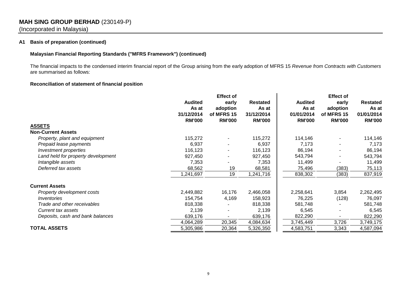# **MAH SING GROUP BERHAD** (230149-P) (Incorporated in Malaysia)

# **A1 Basis of preparation (continued)**

# **Malaysian Financial Reporting Standards ("MFRS Framework") (continued)**

The financial impacts to the condensed interim financial report of the Group arising from the early adoption of MFRS 15 *Revenue from Contracts with Customers* are summarised as follows:

# **Reconciliation of statement of financial position**

|                                    | <b>Effect of</b> |               |                 |                |               |                 |
|------------------------------------|------------------|---------------|-----------------|----------------|---------------|-----------------|
|                                    | <b>Audited</b>   | early         | <b>Restated</b> | <b>Audited</b> | early         | <b>Restated</b> |
|                                    | As at            | adoption      | As at           | As at          | adoption      | As at           |
|                                    | 31/12/2014       | of MFRS 15    | 31/12/2014      | 01/01/2014     | of MFRS 15    | 01/01/2014      |
|                                    | <b>RM'000</b>    | <b>RM'000</b> | <b>RM'000</b>   | <b>RM'000</b>  | <b>RM'000</b> | <b>RM'000</b>   |
| <b>ASSETS</b>                      |                  |               |                 |                |               |                 |
| <b>Non-Current Assets</b>          |                  |               |                 |                |               |                 |
| Property, plant and equipment      | 115,272          |               | 115,272         | 114,146        |               | 114,146         |
| Prepaid lease payments             | 6,937            |               | 6,937           | 7,173          |               | 7,173           |
| Investment properties              | 116,123          |               | 116,123         | 86,194         |               | 86,194          |
| Land held for property development | 927,450          |               | 927,450         | 543,794        |               | 543,794         |
| Intangible assets                  | 7,353            |               | 7,353           | 11,499         |               | 11,499          |
| Deferred tax assets                | 68,562           | 19            | 68,581          | 75,496         | (383)         | 75,113          |
|                                    | ,241,697         | 19            | 1,241,716       | 838,302        | (383)         | 837,919         |
| <b>Current Assets</b>              |                  |               |                 |                |               |                 |
| Property development costs         | 2,449,882        | 16,176        | 2,466,058       | 2,258,641      | 3,854         | 2,262,495       |
| Inventories                        | 154,754          | 4,169         | 158,923         | 76,225         | (128)         | 76,097          |
| Trade and other receivables        | 818,338          |               | 818,338         | 581,748        |               | 581,748         |
| Current tax assets                 | 2,139            |               | 2,139           | 6,545          |               | 6,545           |
| Deposits, cash and bank balances   | 639,176          |               | 639,176         | 822,290        |               | 822,290         |
|                                    | 4,064,289        | 20,345        | 4,084,634       | 3,745,449      | 3,726         | 3,749,175       |
| <b>TOTAL ASSETS</b>                | 5,305,986        | 20,364        | 5,326,350       | 4,583,751      | 3,343         | 4,587,094       |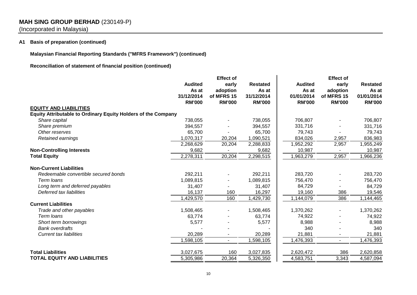# **MAH SING GROUP BERHAD** (230149-P)

(Incorporated in Malaysia)

# **A1 Basis of preparation (continued)**

**Malaysian Financial Reporting Standards ("MFRS Framework") (continued)**

**Reconciliation of statement of financial position (continued)**

|                                                                      | <b>Effect of</b>            |                             |                             | <b>Effect of</b>            |                             |                             |  |
|----------------------------------------------------------------------|-----------------------------|-----------------------------|-----------------------------|-----------------------------|-----------------------------|-----------------------------|--|
|                                                                      | <b>Audited</b><br>As at     | early<br>adoption           | <b>Restated</b><br>As at    | <b>Audited</b><br>As at     | early<br>adoption           | <b>Restated</b><br>As at    |  |
|                                                                      | 31/12/2014<br><b>RM'000</b> | of MFRS 15<br><b>RM'000</b> | 31/12/2014<br><b>RM'000</b> | 01/01/2014<br><b>RM'000</b> | of MFRS 15<br><b>RM'000</b> | 01/01/2014<br><b>RM'000</b> |  |
| <b>EQUITY AND LIABILITIES</b>                                        |                             |                             |                             |                             |                             |                             |  |
| <b>Equity Attributable to Ordinary Equity Holders of the Company</b> |                             |                             |                             |                             |                             |                             |  |
| Share capital                                                        | 738,055                     |                             | 738,055                     | 706,807                     |                             | 706,807                     |  |
| Share premium                                                        | 394,557                     |                             | 394,557                     | 331,716                     |                             | 331,716                     |  |
| Other reserves                                                       | 65,700                      |                             | 65,700                      | 79,743                      |                             | 79,743                      |  |
| Retained earnings                                                    | 1,070,317                   | 20,204                      | 1,090,521                   | 834,026                     | 2,957                       | 836,983                     |  |
|                                                                      | 2,268,629                   | 20,204                      | 2,288,833                   | 1,952,292                   | 2,957                       | 1,955,249                   |  |
| <b>Non-Controlling Interests</b>                                     | 9,682                       |                             | 9,682                       | 10,987                      |                             | 10,987                      |  |
| <b>Total Equity</b>                                                  | 2,278,311                   | 20,204                      | 2,298,515                   | 1,963,279                   | 2,957                       | 1,966,236                   |  |
| <b>Non-Current Liabilities</b>                                       |                             |                             |                             |                             |                             |                             |  |
| Redeemable convertible secured bonds                                 | 292,211                     |                             | 292,211                     | 283,720                     |                             | 283,720                     |  |
| Term loans                                                           | 1,089,815                   |                             | 1,089,815                   | 756,470                     |                             | 756,470                     |  |
| Long term and deferred payables                                      | 31,407                      |                             | 31,407                      | 84,729                      |                             | 84,729                      |  |
| Deferred tax liabilities                                             | 16,137                      | 160                         | 16,297                      | 19,160                      | 386                         | 19,546                      |  |
|                                                                      | 1,429,570                   | 160                         | 1,429,730                   | 1,144,079                   | 386                         | 1,144,465                   |  |
| <b>Current Liabilities</b>                                           |                             |                             |                             |                             |                             |                             |  |
| Trade and other payables                                             | 1,508,465                   |                             | 1,508,465                   | 1,370,262                   |                             | 1,370,262                   |  |
| Term loans                                                           | 63,774                      |                             | 63,774                      | 74,922                      |                             | 74,922                      |  |
| Short term borrowings                                                | 5,577                       |                             | 5,577                       | 8,988                       |                             | 8,988                       |  |
| <b>Bank overdrafts</b>                                               |                             |                             |                             | 340                         |                             | 340                         |  |
| <b>Current tax liabilities</b>                                       | 20,289                      |                             | 20,289                      | 21,881                      |                             | 21,881                      |  |
|                                                                      | 1,598,105                   | $\sim$                      | 1,598,105                   | 1,476,393                   | $\blacksquare$              | 1,476,393                   |  |
| <b>Total Liabilities</b>                                             | 3,027,675                   | 160                         | 3,027,835                   | 2,620,472                   | 386                         | 2,620,858                   |  |
| <b>TOTAL EQUITY AND LIABILITIES</b>                                  | 5,305,986                   | 20,364                      | 5,326,350                   | 4,583,751                   | 3,343                       | 4,587,094                   |  |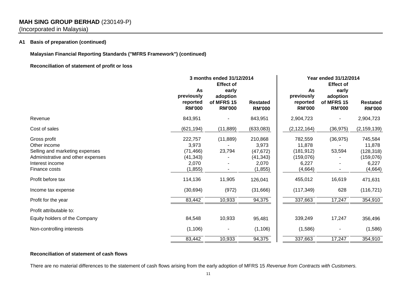# **MAH SING GROUP BERHAD** (230149-P)

(Incorporated in Malaysia)

# **A1 Basis of preparation (continued)**

# **Malaysian Financial Reporting Standards ("MFRS Framework") (continued)**

# **Reconciliation of statement of profit or loss**

|                                                                                                                                         | 3 months ended 31/12/2014<br><b>Effect of</b>                   |                                                  |                                                                 | Year ended 31/12/2014<br><b>Effect of</b>                        |                                                  |                                                                   |
|-----------------------------------------------------------------------------------------------------------------------------------------|-----------------------------------------------------------------|--------------------------------------------------|-----------------------------------------------------------------|------------------------------------------------------------------|--------------------------------------------------|-------------------------------------------------------------------|
|                                                                                                                                         | As<br>previously<br>reported<br><b>RM'000</b>                   | early<br>adoption<br>of MFRS 15<br><b>RM'000</b> | <b>Restated</b><br><b>RM'000</b>                                | As<br>previously<br>reported<br><b>RM'000</b>                    | early<br>adoption<br>of MFRS 15<br><b>RM'000</b> | <b>Restated</b><br><b>RM'000</b>                                  |
| Revenue                                                                                                                                 | 843,951                                                         |                                                  | 843,951                                                         | 2,904,723                                                        |                                                  | 2,904,723                                                         |
| Cost of sales                                                                                                                           | (621, 194)                                                      | (11, 889)                                        | (633,083)                                                       | (2, 122, 164)                                                    | (36, 975)                                        | (2, 159, 139)                                                     |
| Gross profit<br>Other income<br>Selling and marketing expenses<br>Administrative and other expenses<br>Interest income<br>Finance costs | 222,757<br>3,973<br>(71, 466)<br>(41, 343)<br>2,070<br>(1, 855) | (11, 889)<br>23,794                              | 210,868<br>3,973<br>(47, 672)<br>(41, 343)<br>2,070<br>(1, 855) | 782,559<br>11,878<br>(181, 912)<br>(159,076)<br>6,227<br>(4,664) | (36, 975)<br>53,594                              | 745,584<br>11,878<br>(128, 318)<br>(159, 076)<br>6,227<br>(4,664) |
| Profit before tax                                                                                                                       | 114,136                                                         | 11,905                                           | 126,041                                                         | 455,012                                                          | 16,619                                           | 471,631                                                           |
| Income tax expense                                                                                                                      | (30, 694)                                                       | (972)                                            | (31,666)                                                        | (117, 349)                                                       | 628                                              | (116, 721)                                                        |
| Profit for the year                                                                                                                     | 83,442                                                          | 10,933                                           | 94,375                                                          | 337,663                                                          | 17,247                                           | 354,910                                                           |
| Profit attributable to:                                                                                                                 |                                                                 |                                                  |                                                                 |                                                                  |                                                  |                                                                   |
| Equity holders of the Company                                                                                                           | 84,548                                                          | 10,933                                           | 95,481                                                          | 339,249                                                          | 17,247                                           | 356,496                                                           |
| Non-controlling interests                                                                                                               | (1, 106)                                                        |                                                  | (1, 106)                                                        | (1,586)                                                          |                                                  | (1,586)                                                           |
|                                                                                                                                         | 83,442                                                          | 10,933                                           | 94,375                                                          | 337,663                                                          | 17,247                                           | 354,910                                                           |

# **Reconciliation of statement of cash flows**

There are no material differences to the statement of cash flows arising from the early adoption of MFRS 15 *Revenue from Contracts with Customers.*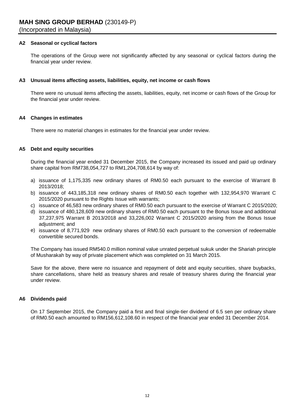# **A2 Seasonal or cyclical factors**

The operations of the Group were not significantly affected by any seasonal or cyclical factors during the financial year under review.

### **A3 Unusual items affecting assets, liabilities, equity, net income or cash flows**

There were no unusual items affecting the assets, liabilities, equity, net income or cash flows of the Group for the financial year under review.

#### **A4 Changes in estimates**

There were no material changes in estimates for the financial year under review.

### **A5 Debt and equity securities**

During the financial year ended 31 December 2015, the Company increased its issued and paid up ordinary share capital from RM738,054,727 to RM1,204,708,614 by way of:

- a) issuance of 1,175,335 new ordinary shares of RM0.50 each pursuant to the exercise of Warrant B 2013/2018;
- b) issuance of 443,185,318 new ordinary shares of RM0.50 each together with 132,954,970 Warrant C 2015/2020 pursuant to the Rights Issue with warrants;
- c) issuance of 46,583 new ordinary shares of RM0.50 each pursuant to the exercise of Warrant C 2015/2020;
- d) issuance of 480,128,609 new ordinary shares of RM0.50 each pursuant to the Bonus Issue and additional 37,237,975 Warrant B 2013/2018 and 33,226,002 Warrant C 2015/2020 arising from the Bonus Issue adjustment; and
- e) issuance of 8,771,929 new ordinary shares of RM0.50 each pursuant to the conversion of redeemable convertible secured bonds.

The Company has issued RM540.0 million nominal value unrated perpetual sukuk under the Shariah principle of Musharakah by way of private placement which was completed on 31 March 2015.

Save for the above, there were no issuance and repayment of debt and equity securities, share buybacks, share cancellations, share held as treasury shares and resale of treasury shares during the financial year under review.

# **A6 Dividends paid**

On 17 September 2015, the Company paid a first and final single-tier dividend of 6.5 sen per ordinary share of RM0.50 each amounted to RM156,612,108.60 in respect of the financial year ended 31 December 2014.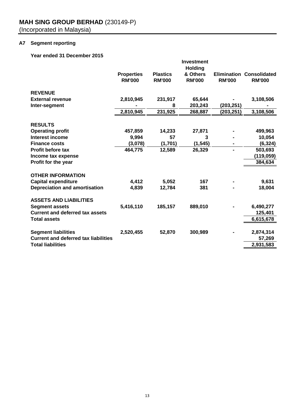# **A7 Segment reporting**

**Year ended 31 December 2015**

|                                             |                   |                 | <b>Investment</b>          |               |                                 |
|---------------------------------------------|-------------------|-----------------|----------------------------|---------------|---------------------------------|
|                                             | <b>Properties</b> | <b>Plastics</b> | <b>Holding</b><br>& Others |               | <b>Elimination Consolidated</b> |
|                                             | <b>RM'000</b>     | <b>RM'000</b>   | <b>RM'000</b>              | <b>RM'000</b> | <b>RM'000</b>                   |
|                                             |                   |                 |                            |               |                                 |
| <b>REVENUE</b>                              |                   |                 |                            |               |                                 |
| <b>External revenue</b>                     | 2,810,945         | 231,917         | 65,644                     |               | 3,108,506                       |
| Inter-segment                               |                   | 8               | 203,243                    | (203, 251)    |                                 |
|                                             | 2,810,945         | 231,925         | 268,887                    | (203,251)     | 3,108,506                       |
| <b>RESULTS</b>                              |                   |                 |                            |               |                                 |
| <b>Operating profit</b>                     | 457,859           | 14,233          | 27,871                     |               | 499,963                         |
| Interest income                             | 9,994             | 57              | 3                          |               | 10,054                          |
| <b>Finance costs</b>                        | (3,078)           | (1,701)         | (1, 545)                   |               | (6, 324)                        |
| <b>Profit before tax</b>                    | 464,775           | 12,589          | 26,329                     | ä,            | 503,693                         |
| Income tax expense                          |                   |                 |                            |               | (119, 059)                      |
| Profit for the year                         |                   |                 |                            |               | 384,634                         |
|                                             |                   |                 |                            |               |                                 |
| <b>OTHER INFORMATION</b>                    |                   |                 |                            |               |                                 |
| <b>Capital expenditure</b>                  | 4,412             | 5,052           | 167                        |               | 9,631                           |
| <b>Depreciation and amortisation</b>        | 4,839             | 12,784          | 381                        |               | 18,004                          |
| <b>ASSETS AND LIABILITIES</b>               |                   |                 |                            |               |                                 |
| <b>Segment assets</b>                       | 5,416,110         | 185,157         | 889,010                    |               | 6,490,277                       |
| <b>Current and deferred tax assets</b>      |                   |                 |                            |               | 125,401                         |
| <b>Total assets</b>                         |                   |                 |                            |               | 6,615,678                       |
|                                             |                   |                 |                            |               |                                 |
| <b>Segment liabilities</b>                  | 2,520,455         | 52,870          | 300,989                    |               | 2,874,314                       |
| <b>Current and deferred tax liabilities</b> |                   |                 |                            |               | 57,269                          |
| <b>Total liabilities</b>                    |                   |                 |                            |               | 2,931,583                       |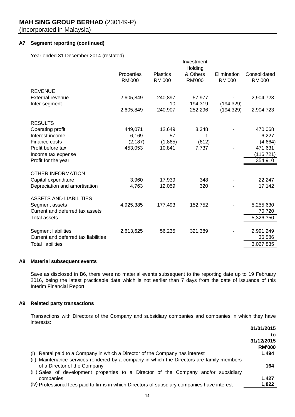# **A7 Segment reporting (continued)**

Year ended 31 December 2014 (restated)

|                                      |               |                 | Investment<br>Holding |               |               |
|--------------------------------------|---------------|-----------------|-----------------------|---------------|---------------|
|                                      | Properties    | <b>Plastics</b> | & Others              | Elimination   | Consolidated  |
|                                      | <b>RM'000</b> | <b>RM'000</b>   | <b>RM'000</b>         | <b>RM'000</b> | <b>RM'000</b> |
| <b>REVENUE</b>                       |               |                 |                       |               |               |
| <b>External revenue</b>              | 2,605,849     | 240,897         | 57,977                |               | 2,904,723     |
| Inter-segment                        |               | 10              | 194,319               | (194,329)     |               |
|                                      | 2,605,849     | 240,907         | 252,296               | (194,329)     | 2,904,723     |
| <b>RESULTS</b>                       |               |                 |                       |               |               |
| Operating profit                     | 449,071       | 12,649          | 8,348                 |               | 470,068       |
| Interest income                      | 6,169         | 57              |                       |               | 6,227         |
| Finance costs                        | (2, 187)      | (1,865)         | (612)                 |               | (4,664)       |
| Profit before tax                    | 453,053       | 10,841          | 7,737                 |               | 471,631       |
| Income tax expense                   |               |                 |                       |               | (116, 721)    |
| Profit for the year                  |               |                 |                       |               | 354,910       |
|                                      |               |                 |                       |               |               |
| <b>OTHER INFORMATION</b>             |               |                 |                       |               |               |
| Capital expenditure                  | 3,960         | 17,939          | 348                   |               | 22,247        |
| Depreciation and amortisation        | 4,763         | 12,059          | 320                   |               | 17,142        |
| <b>ASSETS AND LIABILITIES</b>        |               |                 |                       |               |               |
| Segment assets                       | 4,925,385     | 177,493         | 152,752               |               | 5,255,630     |
| Current and deferred tax assets      |               |                 |                       |               | 70,720        |
| <b>Total assets</b>                  |               |                 |                       |               | 5,326,350     |
|                                      |               |                 |                       |               |               |
| Segment liabilities                  | 2,613,625     | 56,235          | 321,389               |               | 2,991,249     |
| Current and deferred tax liabilities |               |                 |                       |               | 36,586        |
| <b>Total liabilities</b>             |               |                 |                       |               | 3,027,835     |

#### **A8 Material subsequent events**

Save as disclosed in B6, there were no material events subsequent to the reporting date up to 19 February 2016, being the latest practicable date which is not earlier than 7 days from the date of issuance of this Interim Financial Report.

# **A9 Related party transactions**

Transactions with Directors of the Company and subsidiary companies and companies in which they have interests:

|                                                                                              | 01/01/2015    |
|----------------------------------------------------------------------------------------------|---------------|
|                                                                                              | to            |
|                                                                                              | 31/12/2015    |
|                                                                                              | <b>RM'000</b> |
| Rental paid to a Company in which a Director of the Company has interest<br>(1)              | 1,494         |
| (ii) Maintenance services rendered by a company in which the Directors are family members    |               |
| of a Director of the Company                                                                 | 164           |
| (iii) Sales of development properties to a Director of the Company and/or subsidiary         |               |
| companies                                                                                    | 1.427         |
| (iv) Professional fees paid to firms in which Directors of subsdiary companies have interest | 1,822         |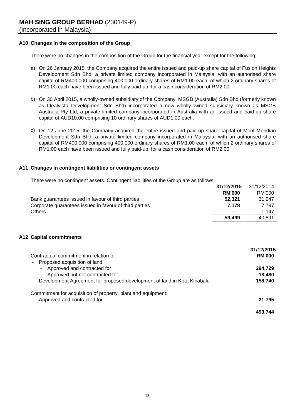# **A10 Changes in the composition of the Group**

There were no changes in the composition of the Group for the financial year except for the following:

- a) On 26 January 2015, the Company acquired the entire issued and paid-up share capital of Fusion Heights Development Sdn Bhd, a private limited company incorporated in Malaysia, with an authorised share capital of RM400,000 comprising 400,000 ordinary shares of RM1.00 each, of which 2 ordinary shares of RM1.00 each have been issued and fully paid-up, for a cash consideration of RM2.00.
- b) On 30 April 2015, a wholly-owned subsidiary of the Company, MSGB (Australia) Sdn Bhd (formerly known as Idealvista Development Sdn Bhd) incorporated a new wholly-owned subsidiary known as MSGB Australia Pty Ltd, a private limited company incorporated in Australia with an issued and paid-up share capital of AUD10.00 comprising 10 ordinary shares of AUD1.00 each.
- c) On 12 June 2015, the Company acquired the entire issued and paid-up share capital of Mont Meridian Development Sdn Bhd, a private limited company incorporated in Malaysia, with an authorised share capital of RM400,000 comprising 400,000 ordinary shares of RM1.00 each, of which 2 ordinary shares of RM1.00 each have been issued and fully paid-up, for a cash consideration of RM2.00.

# **A11 Changes in contingent liabilities or contingent assets**

There were no contingent assets. Contingent liabilities of the Group are as follows:

|                                                        | 31/12/2015               | 31/12/2014 |
|--------------------------------------------------------|--------------------------|------------|
|                                                        | <b>RM'000</b>            | RM'000     |
| Bank guarantees issued in favour of third parties      | 52.321                   | 31.947     |
| Corporate guarantees issued in favour of third parties | 7.178                    | 7.797      |
| <b>Others</b>                                          | $\overline{\phantom{a}}$ | 1.147      |
|                                                        | 59,499                   | 40.891     |

# **A12 Capital commitments**

| Contractual commitment in relation to:<br>Proposed acquisition of land<br>۰                                   | 31/12/2015<br><b>RM'000</b> |
|---------------------------------------------------------------------------------------------------------------|-----------------------------|
| Approved and contracted for<br>$\sim$<br>Approved but not contracted for<br>$\sim$                            | 294,729<br>18,480           |
| Development Agreement for proposed development of land in Kota Kinabalu<br>۰                                  | 158,740                     |
| Commitment for acquisition of property, plant and equipment:<br>Approved and contracted for<br>$\blacksquare$ | 21.795                      |
|                                                                                                               | 493.744                     |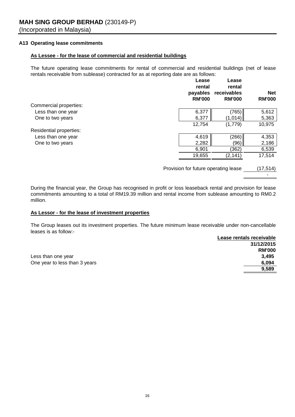# **A13 Operating lease commitments**

# **As Lessee - for the lease of commercial and residential buildings**

The future operating lease commitments for rental of commercial and residential buildings (net of lease rentals receivable from sublease) contracted for as at reporting date are as follows:

|                         | Lease<br>rental<br>payables<br><b>RM'000</b> | Lease<br>rental<br>receivables<br><b>RM'000</b> | <b>Net</b><br><b>RM'000</b> |
|-------------------------|----------------------------------------------|-------------------------------------------------|-----------------------------|
| Commercial properties:  |                                              |                                                 |                             |
| Less than one year      | 6,377                                        | (765)                                           | 5,612                       |
| One to two years        | 6,377                                        | (1,014)                                         | 5,363                       |
|                         | 12,754                                       | (1,779)                                         | 10,975                      |
| Residential properties: |                                              |                                                 |                             |
| Less than one year      | 4,619                                        | (266)                                           | 4,353                       |
| One to two years        | 2,282                                        | (96)                                            | 2,186                       |
|                         | 6,901                                        | (362)                                           | 6,539                       |
|                         | 19,655                                       | (2,141)                                         | 17,514                      |
|                         |                                              |                                                 |                             |

Provision for future operating lease (17,514)

 $\sim$  -  $\sim$ 

During the financial year, the Group has recognised in profit or loss leaseback rental and provision for lease commitments amounting to a total of RM19.39 million and rental income from sublease amounting to RM0.2 million.

# **As Lessor - for the lease of investment properties**

The Group leases out its investment properties. The future minimum lease receivable under non-cancellable leases is as follow:-

|                               | Lease rentals receivable |
|-------------------------------|--------------------------|
|                               | 31/12/2015               |
|                               | <b>RM'000</b>            |
| Less than one year            | 3.495                    |
| One year to less than 3 years | 6,094                    |
|                               | 9.589                    |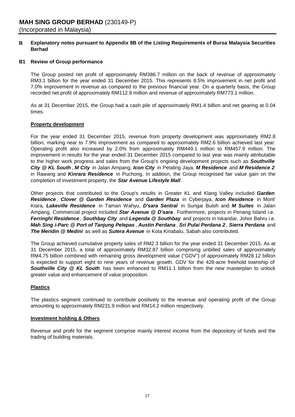#### **B Explanatory notes pursuant to Appendix 9B of the Listing Requirements of Bursa Malaysia Securities Berhad**

# **B1 Review of Group performance**

The Group posted net profit of approximately RM386.7 million on the back of revenue of approximately RM3.1 billion for the year ended 31 December 2015. This represents 8.5% improvement in net profit and 7.0% improvement in revenue as compared to the previous financial year. On a quarterly basis, the Group recorded net profit of approximately RM112.9 million and revenue of approximately RM773.1 million.

As at 31 December 2015, the Group had a cash pile of approximately RM1.4 billion and net gearing at 0.04 times.

# **Property development**

For the year ended 31 December 2015, revenue from property development was approximately RM2.8 billion, marking near to 7.9% improvement as compared to approximately RM2.6 billion achieved last year. Operating profit also increased by 2.0% from approximately RM449.1 million to RM457.9 million. The improvement in results for the year ended 31 December 2015 compared to last year was mainly attributable to the higher work progress and sales from the Group's ongoing development projects such as *Southville City @ KL South* , *M City* in Jalan Ampang, *Icon City* in Petaling Jaya, *M Residence* and *M Residence 2* in Rawang and *Kinrara Residence* in Puchong. In addition, the Group recognised fair value gain on the completion of investment property, the *Star Avenue Lifestyle Mall* .

Other projects that contributed to the Group's results in Greater KL and Klang Valley included *Garden Residence* , *Clover @ Garden Residence* and *Garden Plaza* in Cyberjaya, *Icon Residence* in Mont' Kiara, *Lakeville Residence* in Taman Wahyu, *D'sara Sentral* in Sungai Buloh and *M Suites* in Jalan Ampang. Commercial project included *Star Avenue @ D'sara* . Furthermore, projects in Penang Island i.e. *Ferringhi Residence* , *Southbay City* and *Legenda @ Southbay* and projects in Iskandar, Johor Bahru i.e. *Mah Sing i-Parc @ Port of Tanjung Pelepas* , *Austin Perdana* , *Sri Pulai Perdana 2* , *Sierra Perdana* and *The Meridin @ Medini* as well as *Sutera Avenue* in Kota Kinabalu, Sabah also contributed.

The Group achieved cumulative property sales of RM2.3 billion for the year ended 31 December 2015. As at 31 December 2015, a total of approximately RM32.87 billion comprising unbilled sales of approximately RM4.75 billion combined with remaining gross development value ("GDV") of approximately RM28.12 billion is expected to support eight to nine years of revenue growth. GDV for the 428-acre freehold township of *Southville City @ KL South* has been enhanced to RM11.1 billion from the new masterplan to unlock greater value and enhancement of value proposition.

# **Plastics**

The plastics segment continued to contribute positively to the revenue and operating profit of the Group amounting to approximately RM231.9 million and RM14.2 million respectively.

# **Investment holding & Others**

Revenue and profit for the segment comprise mainly interest income from the depository of funds and the trading of building materials.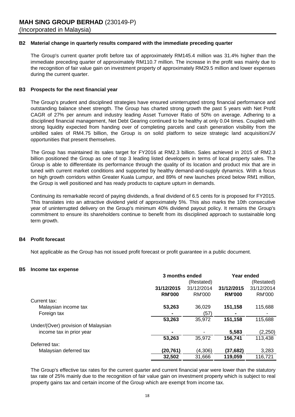# **B2 Material change in quarterly results compared with the immediate preceding quarter**

The Group's current quarter profit before tax of approximately RM145.4 million was 31.4% higher than the immediate preceding quarter of approximately RM110.7 million. The increase in the profit was mainly due to the recognition of fair value gain on investment property of approximately RM29.5 million and lower expenses during the current quarter.

# **B3 Prospects for the next financial year**

The Group's prudent and disciplined strategies have ensured uninterrupted strong financial performance and outstanding balance sheet strength. The Group has charted strong growth the past 5 years with Net Profit CAGR of 27% per annum and industry leading Asset Turnover Ratio of 50% on average. Adhering to a disciplined financial management, Net Debt Gearing continued to be healthy at only 0.04 times. Coupled with strong liquidity expected from handing over of completing parcels and cash generation visibility from the unbilled sales of RM4.75 billion, the Group is on solid platform to seize strategic land acquisition/JV opportunities that present themselves.

The Group has maintained its sales target for FY2016 at RM2.3 billion. Sales achieved in 2015 of RM2.3 billion positioned the Group as one of top 3 leading listed developers in terms of local property sales. The Group is able to differentiate its performance through the quality of its location and product mix that are in tuned with current market conditions and supported by healthy demand-and-supply dynamics. With a focus on high growth corridors within Greater Kuala Lumpur, and 89% of new launches priced below RM1 million, the Group is well positioned and has ready products to capture upturn in demands.

Continuing its remarkable record of paying dividends, a final dividend of 6.5 cents for is proposed for FY2015. This translates into an attractive dividend yield of approximately 5%. This also marks the 10th consecutive year of uninterrupted delivery on the Group's minimum 40% dividend payout policy. It remains the Group's commitment to ensure its shareholders continue to benefit from its disciplined approach to sustainable long term growth.

# **B4 Profit forecast**

Not applicable as the Group has not issued profit forecast or profit guarantee in a public document.

# **B5 Income tax expense**

|                                     | 3 months ended |               | Year ended    |            |  |
|-------------------------------------|----------------|---------------|---------------|------------|--|
|                                     | (Restated)     |               |               | (Restated) |  |
|                                     | 31/12/2015     | 31/12/2014    | 31/12/2015    | 31/12/2014 |  |
|                                     | <b>RM'000</b>  | <b>RM'000</b> | <b>RM'000</b> | RM'000     |  |
| Current tax:                        |                |               |               |            |  |
| Malaysian income tax                | 53,263         | 36,029        | 151,158       | 115,688    |  |
| Foreign tax                         | $\blacksquare$ | (57)          |               |            |  |
|                                     | 53,263         | 35,972        | 151,158       | 115,688    |  |
| Under/(Over) provision of Malaysian |                |               |               |            |  |
| income tax in prior year            | $\blacksquare$ |               | 5,583         | (2,250)    |  |
|                                     | 53,263         | 35,972        | 156,741       | 113,438    |  |
| Deferred tax:                       |                |               |               |            |  |
| Malaysian deferred tax              | (20,761)       | (4,306)       | (37,682)      | 3,283      |  |
|                                     | 32,502         | 31.666        | 119,059       | 116,721    |  |

The Group's effective tax rates for the current quarter and current financial year were lower than the statutory tax rate of 25% mainly due to the recognition of fair value gain on investment property which is subject to real property gains tax and certain income of the Group which are exempt from income tax.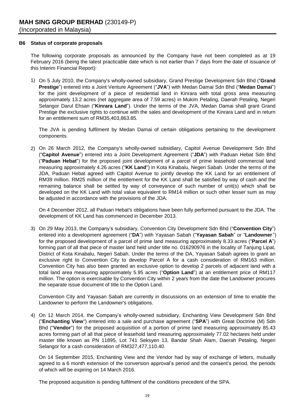### **B6 Status of corporate proposals**

The following corporate proposals as announced by the Company have not been completed as at 19 February 2016 (being the latest practicable date which is not earlier than 7 days from the date of issuance of this Interim Financial Report):

1) On 5 July 2010, the Company's wholly-owned subsidiary, Grand Prestige Development Sdn Bhd ("**Grand Prestige**") entered into a Joint Venture Agreement ("**JVA**") with Medan Damai Sdn Bhd ("**Medan Damai**") for the joint development of a piece of residential land in Kinrara with total gross area measuring approximately 13.2 acres (net aggregate area of 7.59 acres) in Mukim Petaling, Daerah Petaling, Negeri Selangor Darul Ehsan ("**Kinrara Land**"). Under the terms of the JVA, Medan Damai shall grant Grand Prestige the exclusive rights to continue with the sales and development of the Kinrara Land and in return for an entitlement sum of RM35,403,863.85.

The JVA is pending fulfilment by Medan Damai of certain obligations pertaining to the development components.

2) On 26 March 2012, the Company's wholly-owned subsidiary, Capitol Avenue Development Sdn Bhd ("**Capitol Avenue**") entered into a Joint Development Agreement ("**JDA**") with Paduan Hebat Sdn Bhd ("**Paduan Hebat**") for the proposed joint development of a parcel of prime leasehold commercial land measuring approximately 4.26 acres ("**KK Land**") in Kota Kinabalu, Negeri Sabah. Under the terms of the JDA, Paduan Hebat agreed with Capitol Avenue to jointly develop the KK Land for an entitlement of RM39 million. RM25 million of the entitlement for the KK Land shall be satisfied by way of cash and the remaining balance shall be settled by way of conveyance of such number of unit(s) which shall be developed on the KK Land with total value equivalent to RM14 million or such other lesser sum as may be adjusted in accordance with the provisions of the JDA.

On 4 December 2012, all Paduan Hebat's obligations have been fully performed pursuant to the JDA. The development of KK Land has commenced in December 2013.

3) On 29 May 2013, the Company's subsidiary, Convention City Development Sdn Bhd ("**Convention City**") entered into a development agreement ("**DA**") with Yayasan Sabah ("**Yayasan Sabah**" or "**Landowner**") for the proposed development of a parcel of prime land measuring approximately 8.33 acres ("**Parcel A**") forming part of all that piece of master land held under title no. 016290976 in the locality of Tanjung Lipat, District of Kota Kinabalu, Negeri Sabah. Under the terms of the DA, Yayasan Sabah agrees to grant an exclusive right to Convention City to develop Parcel A for a cash consideration of RM163 million. Convention City has also been granted an exclusive option to develop 2 parcels of adjacent land with a total land area measuring approximately 5.95 acres ("**Option Land**") at an entitlement price of RM117 million. The option is exercisable by Convention City within 2 years from the date the Landowner procures the separate issue document of title to the Option Land.

Convention City and Yayasan Sabah are currently in discussions on an extension of time to enable the Landowner to perform the Landowner's obligations.

4) On 12 March 2014, the Company's wholly-owned subsidiary, Enchanting View Development Sdn Bhd ("**Enchanting View**") entered into a sale and purchase agreement ("**SPA**") with Great Doctrine (M) Sdn Bhd ("**Vendor**") for the proposed acquisition of a portion of prime land measuring approximately 85.43 acres forming part of all that piece of leasehold land measuring approximately 77.02 hectares held under master title known as PN 11895, Lot 741 Seksyen 13, Bandar Shah Alam, Daerah Petaling, Negeri Selangor for a cash consideration of RM327,477,110.40.

On 14 September 2015, Enchanting View and the Vendor had by way of exchange of letters, mutually agreed to a 6 month extension of the conversion approval's period and the consent's period, the periods of which will be expiring on 14 March 2016.

The proposed acquisition is pending fulfilment of the conditions precedent of the SPA.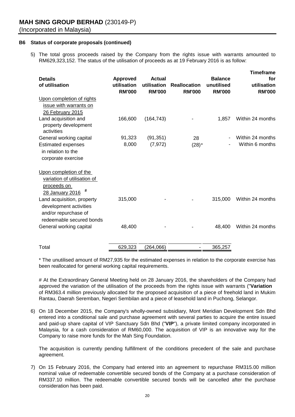# **B6 Status of corporate proposals (continued)**

5) The total gross proceeds raised by the Company from the rights issue with warrants amounted to RM629,323,152. The status of the utilisation of proceeds as at 19 February 2016 is as follow:

| <b>Details</b><br>of utilisation                                                                         | <b>Approved</b><br>utilisation<br><b>RM'000</b> | <b>Actual</b><br>utilisation<br><b>RM'000</b> | <b>Reallocation</b><br><b>RM'000</b> | <b>Balance</b><br>unutilised<br><b>RM'000</b> | <b>Timeframe</b><br>for<br>utilisation<br><b>RM'000</b> |
|----------------------------------------------------------------------------------------------------------|-------------------------------------------------|-----------------------------------------------|--------------------------------------|-----------------------------------------------|---------------------------------------------------------|
| Upon completion of rights<br>issue with warrants on<br>26 February 2015                                  |                                                 |                                               |                                      |                                               |                                                         |
| Land acquisition and<br>property development<br>activities                                               | 166,600                                         | (164, 743)                                    |                                      | 1,857                                         | Within 24 months                                        |
| General working capital                                                                                  | 91,323                                          | (91, 351)                                     | 28                                   |                                               | Within 24 months                                        |
| <b>Estimated expenses</b><br>in relation to the<br>corporate exercise                                    | 8,000                                           | (7, 972)                                      | $(28)*$                              |                                               | Within 6 months                                         |
| Upon completion of the<br>variation of utilisation of<br>proceeds on<br>#<br>28 January 2016             |                                                 |                                               |                                      |                                               |                                                         |
| Land acquisition, property<br>development activities<br>and/or repurchase of<br>redeemable secured bonds | 315,000                                         |                                               |                                      | 315,000                                       | Within 24 months                                        |
| General working capital                                                                                  | 48,400                                          |                                               |                                      | 48,400                                        | Within 24 months                                        |
| Total                                                                                                    | 629,323                                         | (264,066)                                     |                                      | 365,257                                       |                                                         |

\* The unutilised amount of RM27,935 for the estimated expenses in relation to the corporate exercise has been reallocated for general working capital requirements.

# At the Extraordinary General Meeting held on 28 January 2016, the shareholders of the Company had approved the variation of the utilisation of the proceeds from the rights issue with warrants ("**Variation** ") of RM363.4 million previously allocated for the proposed acquisition of a piece of freehold land in Mukim Rantau, Daerah Seremban, Negeri Sembilan and a piece of leasehold land in Puchong, Selangor.

6) On 18 December 2015, the Company's wholly-owned subsidiary, Mont Meridian Development Sdn Bhd entered into a conditional sale and purchase agreement with several parties to acquire the entire issued and paid-up share capital of VIP Sanctuary Sdn Bhd ("**VIP**"), a private limited company incorporated in Malaysia, for a cash consideration of RM60,000. The acquisition of VIP is an innovative way for the Company to raise more funds for the Mah Sing Foundation.

The acquisition is currently pending fulfillment of the conditions precedent of the sale and purchase agreement.

7) On 15 February 2016, the Company had entered into an agreement to repurchase RM315.00 million nominal value of redeemable convertible secured bonds of the Company at a purchase consideration of RM337.10 million. The redeemable convertible secured bonds will be cancelled after the purchase consideration has been paid.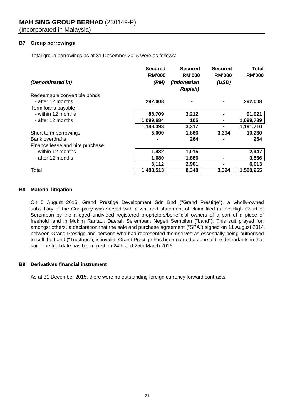# **B7 Group borrowings**

Total group borrowings as at 31 December 2015 were as follows:

|                                 | <b>Secured</b><br><b>RM'000</b> | <b>Secured</b><br><b>RM'000</b> | <b>Secured</b><br><b>RM'000</b> | Total<br><b>RM'000</b> |
|---------------------------------|---------------------------------|---------------------------------|---------------------------------|------------------------|
| (Denominated in)                | (RM)                            | (Indonesian<br><b>Rupiah</b> )  | (USD)                           |                        |
| Redeemable convertible bonds    |                                 |                                 |                                 |                        |
| - after 12 months               | 292,008                         |                                 |                                 | 292,008                |
| Term loans payable              |                                 |                                 |                                 |                        |
| - within 12 months              | 88,709                          | 3,212                           |                                 | 91,921                 |
| - after 12 months               | 1,099,684                       | 105                             |                                 | 1,099,789              |
|                                 | 1,188,393                       | 3,317                           |                                 | 1,191,710              |
| Short term borrowings           | 5,000                           | 1,866                           | 3,394                           | 10,260                 |
| <b>Bank overdrafts</b>          |                                 | 264                             |                                 | 264                    |
| Finance lease and hire purchase |                                 |                                 |                                 |                        |
| - within 12 months              | 1,432                           | 1,015                           |                                 | 2,447                  |
| - after 12 months               | 1,680                           | 1,886                           |                                 | 3,566                  |
|                                 | 3,112                           | 2,901                           |                                 | 6,013                  |
| Total                           | 1,488,513                       | 8,348                           | 3,394                           | 1,500,255              |

# **B8 Material litigation**

On 5 August 2015, Grand Prestige Development Sdn Bhd ("Grand Prestige"), a wholly-owned subsidiary of the Company was served with a writ and statement of claim filed in the High Court of Seremban by the alleged undivided registered proprietors/beneficial owners of a part of a piece of freehold land in Mukim Rantau, Daerah Seremban, Negeri Sembilan ("Land"). This suit prayed for, amongst others, a declaration that the sale and purchase agreement ("SPA") signed on 11 August 2014 between Grand Prestige and persons who had represented themselves as essentially being authorised to sell the Land ("Trustees"), is invalid. Grand Prestige has been named as one of the defendants in that suit. The trial date has been fixed on 24th and 25th March 2016.

# **B9 Derivatives financial instrument**

As at 31 December 2015, there were no outstanding foreign currency forward contracts.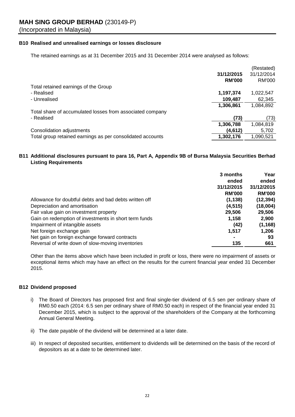# **B10 Realised and unrealised earnings or losses disclosure**

The retained earnings as at 31 December 2015 and 31 December 2014 were analysed as follows:

|                                                            |               | (Restated)    |
|------------------------------------------------------------|---------------|---------------|
|                                                            | 31/12/2015    | 31/12/2014    |
|                                                            | <b>RM'000</b> | <b>RM'000</b> |
| Total retained earnings of the Group                       |               |               |
| - Realised                                                 | 1,197,374     | 1,022,547     |
| - Unrealised                                               | 109,487       | 62,345        |
|                                                            | 1,306,861     | 1,084,892     |
| Total share of accumulated losses from associated company  |               |               |
| - Realised                                                 | (73)          | (73)          |
|                                                            | 1,306,788     | 1,084,819     |
| Consolidation adjustments                                  | (4,612)       | 5,702         |
| Total group retained earnings as per consolidated accounts | 1,302,176     | 1,090,521     |

# **B11 Additional disclosures pursuant to para 16, Part A, Appendix 9B of Bursa Malaysia Securities Berhad Listing Requirements**

|                                                        | 3 months      | Year          |
|--------------------------------------------------------|---------------|---------------|
|                                                        | ended         | ended         |
|                                                        | 31/12/2015    | 31/12/2015    |
|                                                        | <b>RM'000</b> | <b>RM'000</b> |
| Allowance for doubtful debts and bad debts written off | (1, 138)      | (12, 394)     |
| Depreciation and amortisation                          | (4, 515)      | (18,004)      |
| Fair value gain on investment property                 | 29,506        | 29,506        |
| Gain on redemption of investments in short term funds  | 1,158         | 2,900         |
| Impairment of intangible assets                        | (42)          | (1, 168)      |
| Net foreign exchange gain                              | 1,517         | 1,206         |
| Net gain on foreign exchange forward contracts         |               | 93            |
| Reversal of write down of slow-moving inventories      | 135           | 661           |

Other than the items above which have been included in profit or loss, there were no impairment of assets or exceptional items which may have an effect on the results for the current financial year ended 31 December 2015.

# **B12 Dividend proposed**

- i) The Board of Directors has proposed first and final single-tier dividend of 6.5 sen per ordinary share of RM0.50 each (2014: 6.5 sen per ordinary share of RM0.50 each) in respect of the financial year ended 31 December 2015, which is subject to the approval of the shareholders of the Company at the forthcoming Annual General Meeting.
- ii) The date payable of the dividend will be determined at a later date.
- iii) In respect of deposited securities, entitlement to dividends will be determined on the basis of the record of depositors as at a date to be determined later.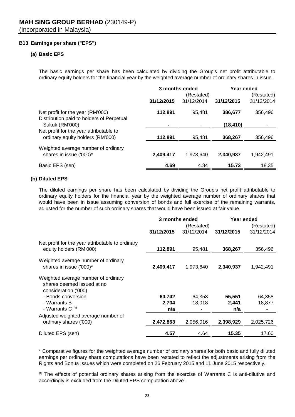# **B13 Earnings per share ("EPS")**

# **(a) Basic EPS**

The basic earnings per share has been calculated by dividing the Group's net profit attributable to ordinary equity holders for the financial year by the weighted average number of ordinary shares in issue.

|                                                                               | 3 months ended |                          | Year ended |                          |
|-------------------------------------------------------------------------------|----------------|--------------------------|------------|--------------------------|
|                                                                               | 31/12/2015     | (Restated)<br>31/12/2014 | 31/12/2015 | (Restated)<br>31/12/2014 |
| Net profit for the year (RM'000)<br>Distribution paid to holders of Perpetual | 112,891        | 95.481                   | 386,677    | 356,496                  |
| <b>Sukuk (RM'000)</b>                                                         |                |                          | (18,410)   |                          |
| Net profit for the year attributable to<br>ordinary equity holders (RM'000)   | 112,891        | 95,481                   | 368,267    | 356,496                  |
| Weighted average number of ordinary<br>shares in issue ('000)*                | 2,409,417      | 1,973,640                | 2,340,937  | 1.942.491                |
| Basic EPS (sen)                                                               | 4.69           | 4.84                     | 15.73      | 18.35                    |

# **(b) Diluted EPS**

The diluted earnings per share has been calculated by dividing the Group's net profit attributable to ordinary equity holders for the financial year by the weighted average number of ordinary shares that would have been in issue assuming conversion of bonds and full exercise of the remaining warrants, adjusted for the number of such ordinary shares that would have been issued at fair value.

|                                                                                           | 3 months ended |            | Year ended |            |
|-------------------------------------------------------------------------------------------|----------------|------------|------------|------------|
|                                                                                           | (Restated)     |            |            | (Restated) |
|                                                                                           | 31/12/2015     | 31/12/2014 | 31/12/2015 | 31/12/2014 |
| Net profit for the year attributable to ordinary<br>equity holders (RM'000)               | 112,891        | 95,481     | 368,267    | 356,496    |
|                                                                                           |                |            |            |            |
| Weighted average number of ordinary<br>shares in issue ('000)*                            | 2,409,417      | 1,973,640  | 2,340,937  | 1,942,491  |
| Weighted average number of ordinary<br>shares deemed issued at no<br>consideration ('000) |                |            |            |            |
| - Bonds conversion                                                                        | 60,742         | 64,358     | 55,551     | 64,358     |
| - Warrants B                                                                              | 2,704          | 18,018     | 2,441      | 18,877     |
| - Warrants C <sup>(1)</sup>                                                               | n/a            |            | n/a        |            |
| Adjusted weighted average number of                                                       |                |            |            |            |
| ordinary shares ('000)                                                                    | 2,472,863      | 2,056,016  | 2,398,929  | 2,025,726  |
| Diluted EPS (sen)                                                                         | 4.57           | 4.64       | 15.35      | 17.60      |

\* Comparative figures for the weighted average number of ordinary shares for both basic and fully diluted earnings per ordinary share computations have been restated to reflect the adjustments arising from the Rights and Bonus Issues which were completed on 26 February 2015 and 11 June 2015 respectively.

 $<sup>(1)</sup>$  The effects of potential ordinary shares arising from the exercise of Warrants C is anti-dilutive and</sup> accordingly is excluded from the Diluted EPS computation above.